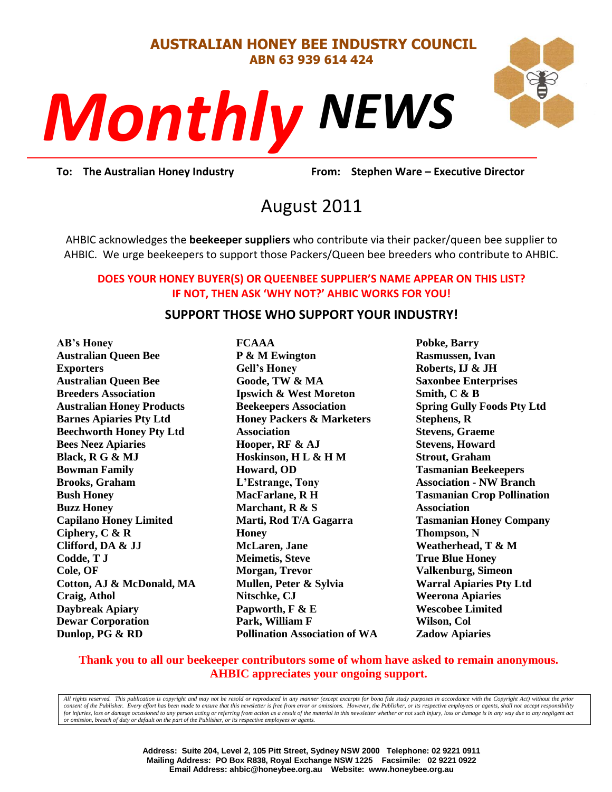#### **AUSTRALIAN HONEY BEE INDUSTRY COUNCIL ABN 63 939 614 424**

# *NEWS Monthly*



**Prom:** Stephen **To: The Australian Honey Industry From: Stephen Ware – Executive Director**

# August 2011

AHBIC acknowledges the **beekeeper suppliers** who contribute via their packer/queen bee supplier to AHBIC. We urge beekeepers to support those Packers/Queen bee breeders who contribute to AHBIC.

#### **DOES YOUR HONEY BUYER(S) OR QUEENBEE SUPPLIER'S NAME APPEAR ON THIS LIST? IF NOT, THEN ASK 'WHY NOT?' AHBIC WORKS FOR YOU!**

#### **SUPPORT THOSE WHO SUPPORT YOUR INDUSTRY!**

**AB's Honey Australian Queen Bee Exporters Australian Queen Bee Breeders Association Australian Honey Products Barnes Apiaries Pty Ltd Beechworth Honey Pty Ltd Bees Neez Apiaries Black, R G & MJ Bowman Family Brooks, Graham Bush Honey Buzz Honey Capilano Honey Limited Ciphery, C & R Clifford, DA & JJ Codde, T J Cole, OF Cotton, AJ & McDonald, MA Craig, Athol Daybreak Apiary Dewar Corporation Dunlop, PG & RD**

**FCAAA P & M Ewington Gell's Honey Goode, TW & MA Ipswich & West Moreton Beekeepers Association Honey Packers & Marketers Association Hooper, RF & AJ Hoskinson, H L & H M Howard, OD L'Estrange, Tony MacFarlane, R H Marchant, R & S Marti, Rod T/A Gagarra Honey McLaren, Jane Meimetis, Steve Morgan, Trevor Mullen, Peter & Sylvia Nitschke, CJ Papworth, F & E Park, William F Pollination Association of WA** **Pobke, Barry Rasmussen, Ivan Roberts, IJ & JH Saxonbee Enterprises Smith, C & B Spring Gully Foods Pty Ltd Stephens, R Stevens, Graeme Stevens, Howard Strout, Graham Tasmanian Beekeepers Association - NW Branch Tasmanian Crop Pollination Association Tasmanian Honey Company Thompson, N Weatherhead, T & M True Blue Honey Valkenburg, Simeon Warral Apiaries Pty Ltd Weerona Apiaries Wescobee Limited Wilson, Col Zadow Apiaries**

#### **Thank you to all our beekeeper contributors some of whom have asked to remain anonymous. AHBIC appreciates your ongoing support.**

*All rights reserved. This publication is copyright and may not be resold or reproduced in any manner (except excerpts for bona fide study purposes in accordance with the Copyright Act) without the prior*  consent of the Publisher. Every effort has been made to ensure that this newsletter is free from error or omissions. However, the Publisher, or its respective employees or agents, shall not accept responsibility for injuries, loss or damage occasioned to any person acting or referring from action as a result of the material in this newsletter whether or not such injury, loss or damage is in any way due to any negligent act *or omission, breach of duty or default on the part of the Publisher, or its respective employees or agents.*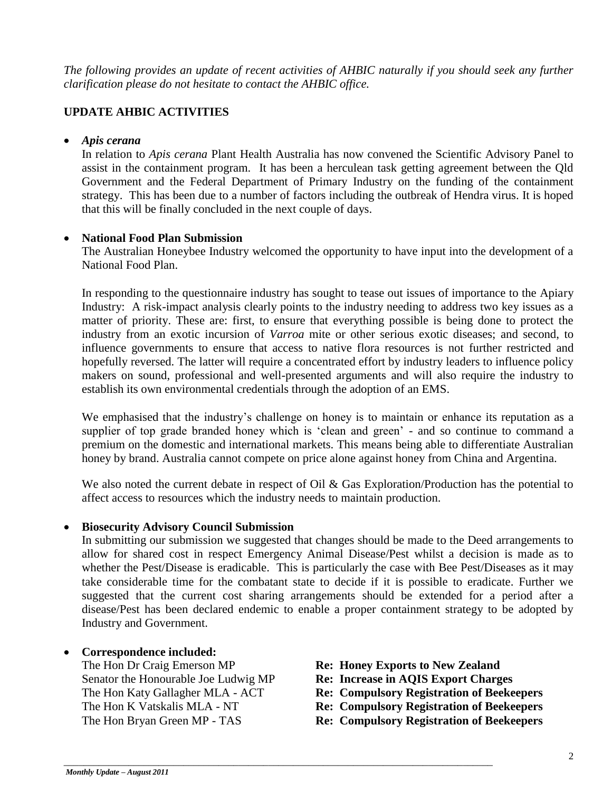*The following provides an update of recent activities of AHBIC naturally if you should seek any further clarification please do not hesitate to contact the AHBIC office.*

### **UPDATE AHBIC ACTIVITIES**

#### *Apis cerana*

In relation to *Apis cerana* Plant Health Australia has now convened the Scientific Advisory Panel to assist in the containment program. It has been a herculean task getting agreement between the Qld Government and the Federal Department of Primary Industry on the funding of the containment strategy. This has been due to a number of factors including the outbreak of Hendra virus. It is hoped that this will be finally concluded in the next couple of days.

#### **National Food Plan Submission**

The Australian Honeybee Industry welcomed the opportunity to have input into the development of a National Food Plan.

In responding to the questionnaire industry has sought to tease out issues of importance to the Apiary Industry: A risk-impact analysis clearly points to the industry needing to address two key issues as a matter of priority. These are: first, to ensure that everything possible is being done to protect the industry from an exotic incursion of *Varroa* mite or other serious exotic diseases; and second, to influence governments to ensure that access to native flora resources is not further restricted and hopefully reversed. The latter will require a concentrated effort by industry leaders to influence policy makers on sound, professional and well-presented arguments and will also require the industry to establish its own environmental credentials through the adoption of an EMS.

We emphasised that the industry's challenge on honey is to maintain or enhance its reputation as a supplier of top grade branded honey which is 'clean and green' - and so continue to command a premium on the domestic and international markets. This means being able to differentiate Australian honey by brand. Australia cannot compete on price alone against honey from China and Argentina.

We also noted the current debate in respect of Oil & Gas Exploration/Production has the potential to affect access to resources which the industry needs to maintain production.

#### **Biosecurity Advisory Council Submission**

In submitting our submission we suggested that changes should be made to the Deed arrangements to allow for shared cost in respect Emergency Animal Disease/Pest whilst a decision is made as to whether the Pest/Disease is eradicable. This is particularly the case with Bee Pest/Diseases as it may take considerable time for the combatant state to decide if it is possible to eradicate. Further we suggested that the current cost sharing arrangements should be extended for a period after a disease/Pest has been declared endemic to enable a proper containment strategy to be adopted by Industry and Government.

\_\_\_\_\_\_\_\_\_\_\_\_\_\_\_\_\_\_\_\_\_\_\_\_\_\_\_\_\_\_\_\_\_\_\_\_\_\_\_\_\_\_\_\_\_\_\_\_\_\_\_\_\_\_\_\_\_\_\_\_\_\_\_\_\_\_\_\_\_\_\_\_\_\_\_\_\_\_\_\_\_\_\_\_\_\_

# • **Correspondence included:**<br>The Hon Dr Craig Emerson MP

Senator the Honourable Joe Ludwig MP **Re: Increase in AQIS Export Charges** The Hon Katy Gallagher MLA - ACT **Re: Compulsory Registration of Beekeepers** The Hon K Vatskalis MLA - NT **Re: Compulsory Registration of Beekeepers** The Hon Bryan Green MP - TAS **Re: Compulsory Registration of Beekeepers**

- Re: Honey Exports to New Zealand
- 
- 
- 
-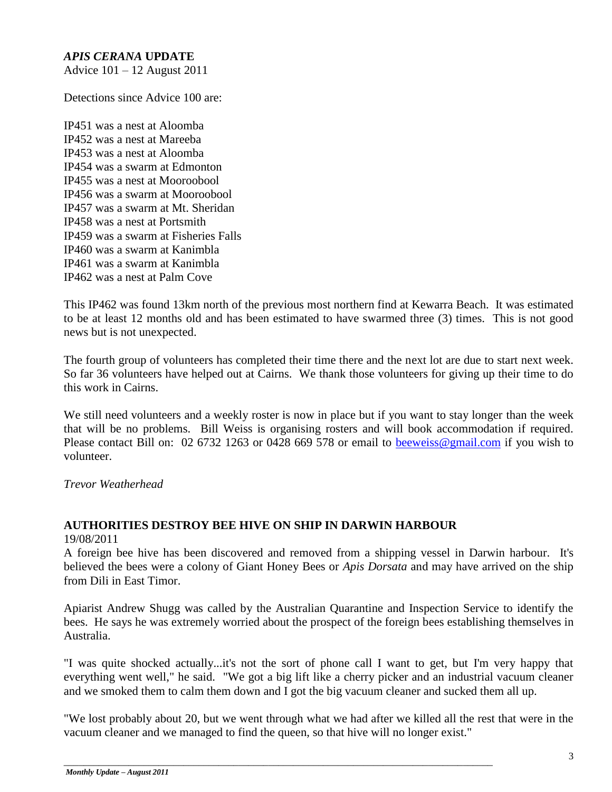# *APIS CERANA* **UPDATE**

Advice 101 – 12 August 2011

Detections since Advice 100 are:

IP451 was a nest at Aloomba IP452 was a nest at Mareeba IP453 was a nest at Aloomba IP454 was a swarm at Edmonton IP455 was a nest at Mooroobool IP456 was a swarm at Mooroobool IP457 was a swarm at Mt. Sheridan IP458 was a nest at Portsmith IP459 was a swarm at Fisheries Falls IP460 was a swarm at Kanimbla IP461 was a swarm at Kanimbla IP462 was a nest at Palm Cove

This IP462 was found 13km north of the previous most northern find at Kewarra Beach. It was estimated to be at least 12 months old and has been estimated to have swarmed three (3) times. This is not good news but is not unexpected.

The fourth group of volunteers has completed their time there and the next lot are due to start next week. So far 36 volunteers have helped out at Cairns. We thank those volunteers for giving up their time to do this work in Cairns.

We still need volunteers and a weekly roster is now in place but if you want to stay longer than the week that will be no problems. Bill Weiss is organising rosters and will book accommodation if required. Please contact Bill on: 02 6732 1263 or 0428 669 578 or email to [beeweiss@gmail.com](mailto:beeweiss@gmail.com) if you wish to volunteer.

*Trevor Weatherhead*

# **AUTHORITIES DESTROY BEE HIVE ON SHIP IN DARWIN HARBOUR**

19/08/2011

A foreign bee hive has been discovered and removed from a shipping vessel in Darwin harbour. It's believed the bees were a colony of Giant Honey Bees or *Apis Dorsata* and may have arrived on the ship from Dili in East Timor.

Apiarist Andrew Shugg was called by the Australian Quarantine and Inspection Service to identify the bees. He says he was extremely worried about the prospect of the foreign bees establishing themselves in Australia.

"I was quite shocked actually...it's not the sort of phone call I want to get, but I'm very happy that everything went well," he said. "We got a big lift like a cherry picker and an industrial vacuum cleaner and we smoked them to calm them down and I got the big vacuum cleaner and sucked them all up.

"We lost probably about 20, but we went through what we had after we killed all the rest that were in the vacuum cleaner and we managed to find the queen, so that hive will no longer exist."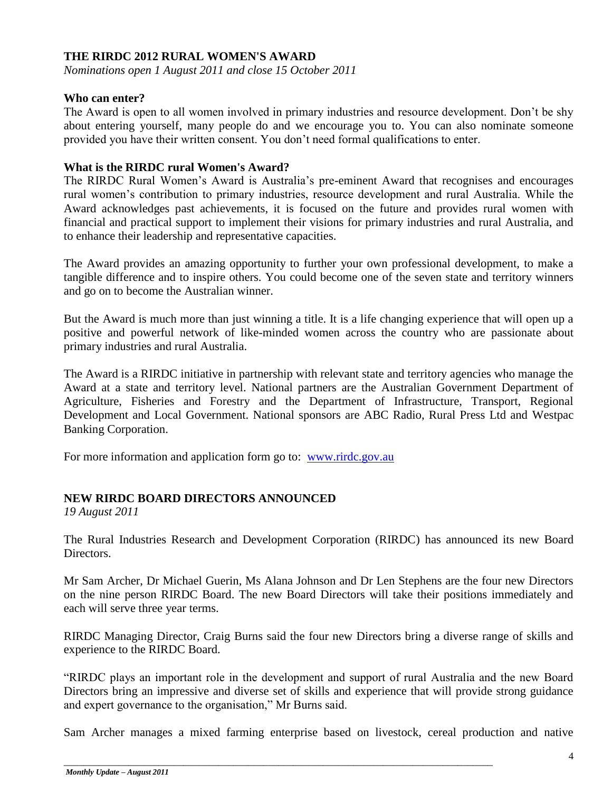#### **THE RIRDC 2012 RURAL WOMEN'S AWARD**

*Nominations open 1 August 2011 and close 15 October 2011*

#### **Who can enter?**

The Award is open to all women involved in primary industries and resource development. Don"t be shy about entering yourself, many people do and we encourage you to. You can also nominate someone provided you have their written consent. You don"t need formal qualifications to enter.

#### **What is the RIRDC rural Women's Award?**

The RIRDC Rural Women's Award is Australia's pre-eminent Award that recognises and encourages rural women"s contribution to primary industries, resource development and rural Australia. While the Award acknowledges past achievements, it is focused on the future and provides rural women with financial and practical support to implement their visions for primary industries and rural Australia, and to enhance their leadership and representative capacities.

The Award provides an amazing opportunity to further your own professional development, to make a tangible difference and to inspire others. You could become one of the seven state and territory winners and go on to become the Australian winner.

But the Award is much more than just winning a title. It is a life changing experience that will open up a positive and powerful network of like-minded women across the country who are passionate about primary industries and rural Australia.

The Award is a RIRDC initiative in partnership with relevant state and territory agencies who manage the Award at a state and territory level. National partners are the Australian Government Department of Agriculture, Fisheries and Forestry and the Department of Infrastructure, Transport, Regional Development and Local Government. National sponsors are ABC Radio, Rural Press Ltd and Westpac Banking Corporation.

For more information and application form go to: [www.rirdc.gov.au](http://www.rirdc.gov.au/)

#### **NEW RIRDC BOARD DIRECTORS ANNOUNCED**

*19 August 2011*

The Rural Industries Research and Development Corporation (RIRDC) has announced its new Board Directors.

Mr Sam Archer, Dr Michael Guerin, Ms Alana Johnson and Dr Len Stephens are the four new Directors on the nine person RIRDC Board. The new Board Directors will take their positions immediately and each will serve three year terms.

RIRDC Managing Director, Craig Burns said the four new Directors bring a diverse range of skills and experience to the RIRDC Board.

"RIRDC plays an important role in the development and support of rural Australia and the new Board Directors bring an impressive and diverse set of skills and experience that will provide strong guidance and expert governance to the organisation," Mr Burns said.

Sam Archer manages a mixed farming enterprise based on livestock, cereal production and native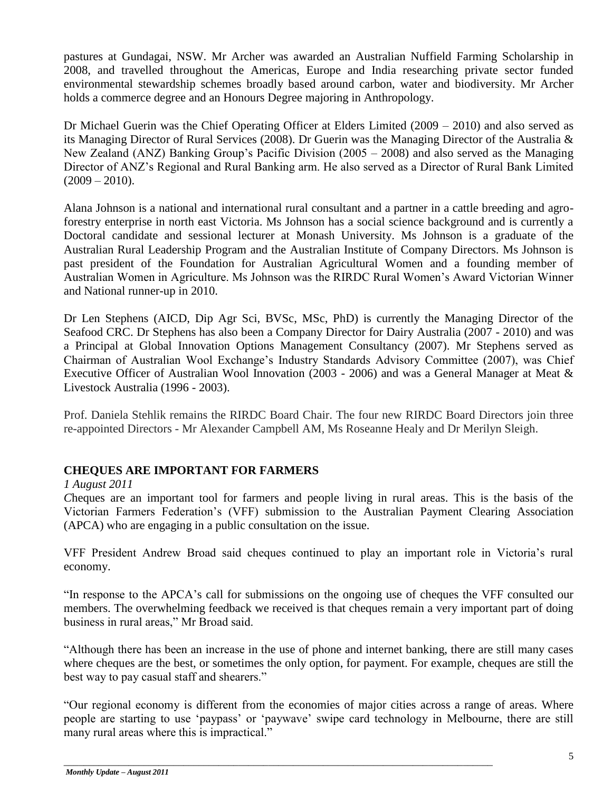pastures at Gundagai, NSW. Mr Archer was awarded an Australian Nuffield Farming Scholarship in 2008, and travelled throughout the Americas, Europe and India researching private sector funded environmental stewardship schemes broadly based around carbon, water and biodiversity. Mr Archer holds a commerce degree and an Honours Degree majoring in Anthropology.

Dr Michael Guerin was the Chief Operating Officer at Elders Limited (2009 – 2010) and also served as its Managing Director of Rural Services (2008). Dr Guerin was the Managing Director of the Australia & New Zealand (ANZ) Banking Group's Pacific Division (2005 – 2008) and also served as the Managing Director of ANZ"s Regional and Rural Banking arm. He also served as a Director of Rural Bank Limited  $(2009 - 2010)$ .

Alana Johnson is a national and international rural consultant and a partner in a cattle breeding and agroforestry enterprise in north east Victoria. Ms Johnson has a social science background and is currently a Doctoral candidate and sessional lecturer at Monash University. Ms Johnson is a graduate of the Australian Rural Leadership Program and the Australian Institute of Company Directors. Ms Johnson is past president of the Foundation for Australian Agricultural Women and a founding member of Australian Women in Agriculture. Ms Johnson was the RIRDC Rural Women"s Award Victorian Winner and National runner-up in 2010.

Dr Len Stephens (AICD, Dip Agr Sci, BVSc, MSc, PhD) is currently the Managing Director of the Seafood CRC. Dr Stephens has also been a Company Director for Dairy Australia (2007 - 2010) and was a Principal at Global Innovation Options Management Consultancy (2007). Mr Stephens served as Chairman of Australian Wool Exchange"s Industry Standards Advisory Committee (2007), was Chief Executive Officer of Australian Wool Innovation (2003 - 2006) and was a General Manager at Meat & Livestock Australia (1996 - 2003).

Prof. Daniela Stehlik remains the RIRDC Board Chair. The four new RIRDC Board Directors join three re-appointed Directors - Mr Alexander Campbell AM, Ms Roseanne Healy and Dr Merilyn Sleigh.

#### **CHEQUES ARE IMPORTANT FOR FARMERS**

#### *1 August 2011*

*C*heques are an important tool for farmers and people living in rural areas. This is the basis of the Victorian Farmers Federation"s (VFF) submission to the Australian Payment Clearing Association (APCA) who are engaging in a public consultation on the issue.

VFF President Andrew Broad said cheques continued to play an important role in Victoria"s rural economy.

"In response to the APCA"s call for submissions on the ongoing use of cheques the VFF consulted our members. The overwhelming feedback we received is that cheques remain a very important part of doing business in rural areas," Mr Broad said.

"Although there has been an increase in the use of phone and internet banking, there are still many cases where cheques are the best, or sometimes the only option, for payment. For example, cheques are still the best way to pay casual staff and shearers."

"Our regional economy is different from the economies of major cities across a range of areas. Where people are starting to use "paypass" or "paywave" swipe card technology in Melbourne, there are still many rural areas where this is impractical."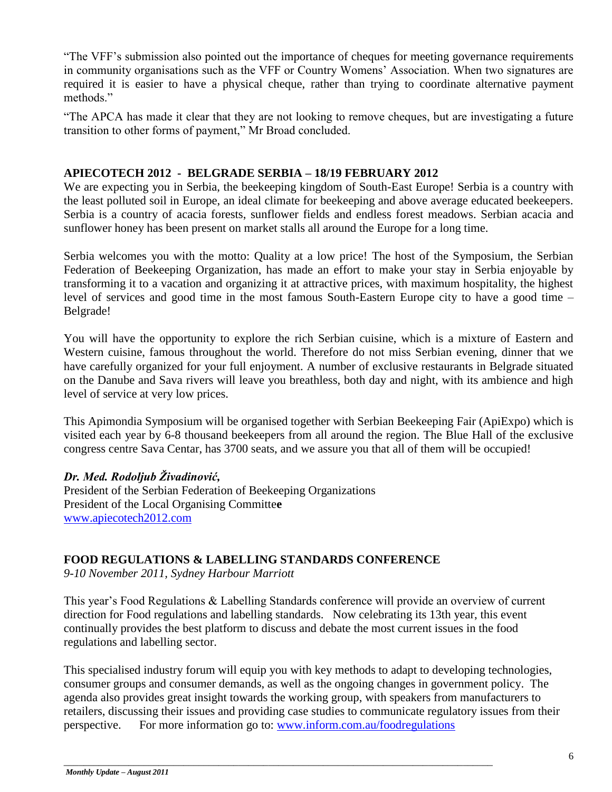"The VFF"s submission also pointed out the importance of cheques for meeting governance requirements in community organisations such as the VFF or Country Womens" Association. When two signatures are required it is easier to have a physical cheque, rather than trying to coordinate alternative payment methods."

"The APCA has made it clear that they are not looking to remove cheques, but are investigating a future transition to other forms of payment," Mr Broad concluded.

#### **APIECOTECH 2012 - BELGRADE SERBIA – 18/19 FEBRUARY 2012**

We are expecting you in Serbia, the beekeeping kingdom of South-East Europe! Serbia is a country with the least polluted soil in Europe, an ideal climate for beekeeping and above average educated beekeepers. Serbia is a country of acacia forests, sunflower fields and endless forest meadows. Serbian acacia and sunflower honey has been present on market stalls all around the Europe for a long time.

Serbia welcomes you with the motto: Quality at a low price! The host of the Symposium, the Serbian Federation of Beekeeping Organization, has made an effort to make your stay in Serbia enjoyable by transforming it to a vacation and organizing it at attractive prices, with maximum hospitality, the highest level of services and good time in the most famous South-Eastern Europe city to have a good time – Belgrade!

You will have the opportunity to explore the rich Serbian cuisine, which is a mixture of Eastern and Western cuisine, famous throughout the world. Therefore do not miss Serbian evening, dinner that we have carefully organized for your full enjoyment. A number of exclusive restaurants in Belgrade situated on the Danube and Sava rivers will leave you breathless, both day and night, with its ambience and high level of service at very low prices.

This Apimondia Symposium will be organised together with Serbian Beekeeping Fair (ApiExpo) which is visited each year by 6-8 thousand beekeepers from all around the region. The Blue Hall of the exclusive congress centre Sava Centar, has 3700 seats, and we assure you that all of them will be occupied!

#### *Dr. Med. Rodoljub Živadinović,*

President of the Serbian Federation of Beekeeping Organizations President of the Local Organising Committe**e** [www.apiecotech2012.com](http://www.apiecotech2012.com/)

# **FOOD REGULATIONS & LABELLING STANDARDS CONFERENCE**

*9-10 November 2011, Sydney Harbour Marriott*

This year"s Food Regulations & Labelling Standards conference will provide an overview of current direction for Food regulations and labelling standards. Now celebrating its 13th year, this event continually provides the best platform to discuss and debate the most current issues in the food regulations and labelling sector.

This specialised industry forum will equip you with key methods to adapt to developing technologies, consumer groups and consumer demands, as well as the ongoing changes in government policy. The agenda also provides great insight towards the working group, with speakers from manufacturers to retailers, discussing their issues and providing case studies to communicate regulatory issues from their perspective. For more information go to: [www.inform.com.au/foodregulations](http://www.inform.com.au/foodregulations)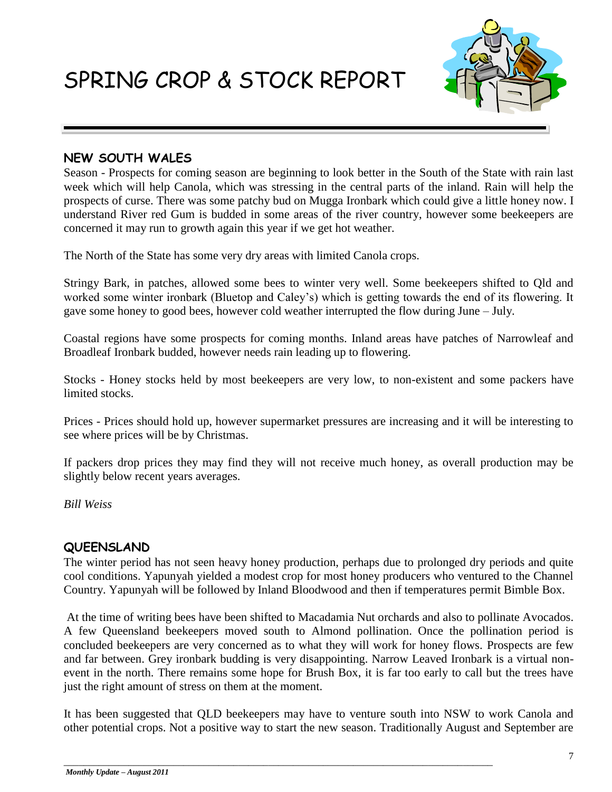SPRING CROP & STOCK REPORT



## **NEW SOUTH WALES**

Season - Prospects for coming season are beginning to look better in the South of the State with rain last week which will help Canola, which was stressing in the central parts of the inland. Rain will help the prospects of curse. There was some patchy bud on Mugga Ironbark which could give a little honey now. I understand River red Gum is budded in some areas of the river country, however some beekeepers are concerned it may run to growth again this year if we get hot weather.

The North of the State has some very dry areas with limited Canola crops.

Stringy Bark, in patches, allowed some bees to winter very well. Some beekeepers shifted to Qld and worked some winter ironbark (Bluetop and Caley"s) which is getting towards the end of its flowering. It gave some honey to good bees, however cold weather interrupted the flow during June – July.

Coastal regions have some prospects for coming months. Inland areas have patches of Narrowleaf and Broadleaf Ironbark budded, however needs rain leading up to flowering.

Stocks - Honey stocks held by most beekeepers are very low, to non-existent and some packers have limited stocks.

Prices - Prices should hold up, however supermarket pressures are increasing and it will be interesting to see where prices will be by Christmas.

If packers drop prices they may find they will not receive much honey, as overall production may be slightly below recent years averages.

*Bill Weiss*

# **QUEENSLAND**

The winter period has not seen heavy honey production, perhaps due to prolonged dry periods and quite cool conditions. Yapunyah yielded a modest crop for most honey producers who ventured to the Channel Country. Yapunyah will be followed by Inland Bloodwood and then if temperatures permit Bimble Box.

At the time of writing bees have been shifted to Macadamia Nut orchards and also to pollinate Avocados. A few Queensland beekeepers moved south to Almond pollination. Once the pollination period is concluded beekeepers are very concerned as to what they will work for honey flows. Prospects are few and far between. Grey ironbark budding is very disappointing. Narrow Leaved Ironbark is a virtual nonevent in the north. There remains some hope for Brush Box, it is far too early to call but the trees have just the right amount of stress on them at the moment.

It has been suggested that QLD beekeepers may have to venture south into NSW to work Canola and other potential crops. Not a positive way to start the new season. Traditionally August and September are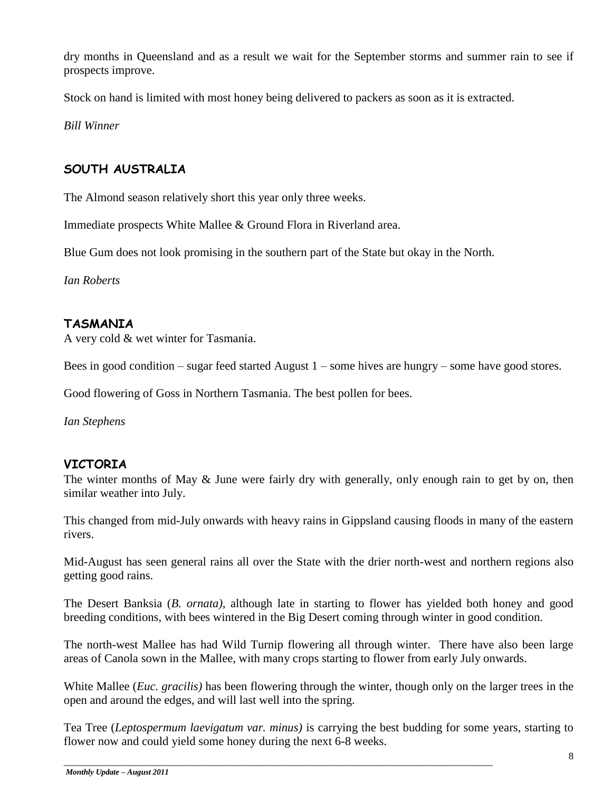dry months in Queensland and as a result we wait for the September storms and summer rain to see if prospects improve.

Stock on hand is limited with most honey being delivered to packers as soon as it is extracted.

*Bill Winner*

# **SOUTH AUSTRALIA**

The Almond season relatively short this year only three weeks.

Immediate prospects White Mallee & Ground Flora in Riverland area.

Blue Gum does not look promising in the southern part of the State but okay in the North.

*Ian Roberts*

# **TASMANIA**

A very cold & wet winter for Tasmania.

Bees in good condition – sugar feed started August  $1$  – some hives are hungry – some have good stores.

Good flowering of Goss in Northern Tasmania. The best pollen for bees.

*Ian Stephens*

# **VICTORIA**

The winter months of May & June were fairly dry with generally, only enough rain to get by on, then similar weather into July.

This changed from mid-July onwards with heavy rains in Gippsland causing floods in many of the eastern rivers.

Mid-August has seen general rains all over the State with the drier north-west and northern regions also getting good rains.

The Desert Banksia (*B. ornata)*, although late in starting to flower has yielded both honey and good breeding conditions, with bees wintered in the Big Desert coming through winter in good condition.

The north-west Mallee has had Wild Turnip flowering all through winter. There have also been large areas of Canola sown in the Mallee, with many crops starting to flower from early July onwards.

White Mallee (*Euc. gracilis)* has been flowering through the winter, though only on the larger trees in the open and around the edges, and will last well into the spring.

Tea Tree (*Leptospermum laevigatum var. minus)* is carrying the best budding for some years, starting to flower now and could yield some honey during the next 6-8 weeks.